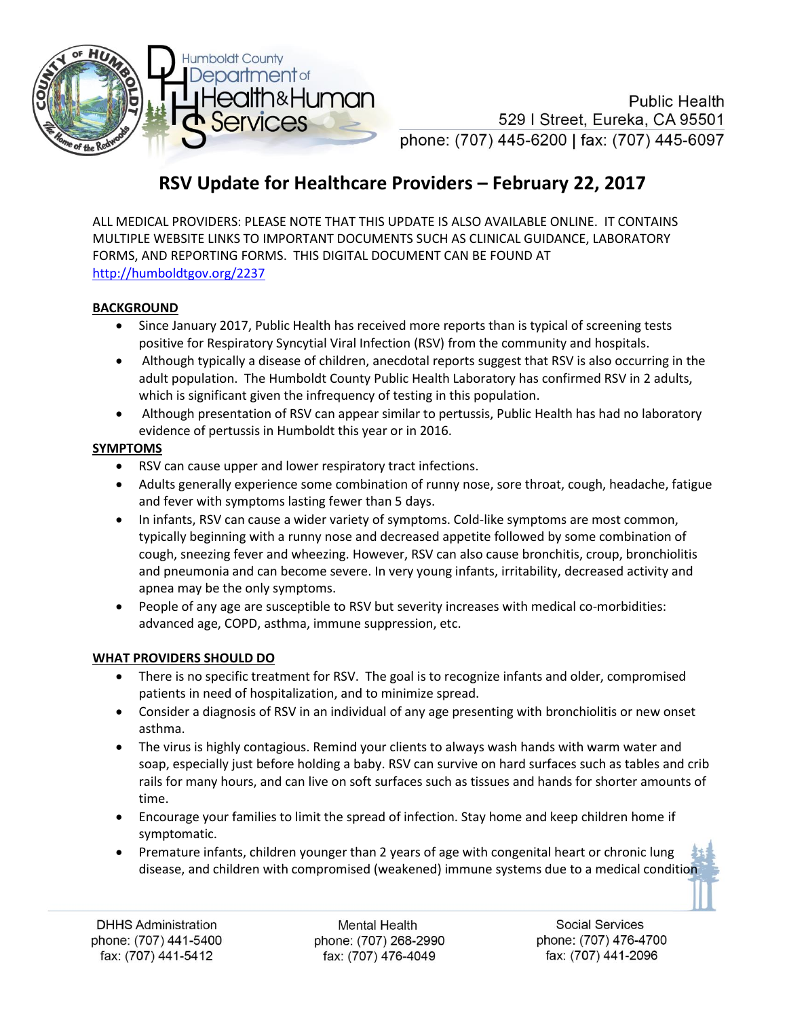

**Public Health** 529 | Street, Eureka, CA 95501 phone: (707) 445-6200 | fax: (707) 445-6097

## **RSV Update for Healthcare Providers – February 22, 2017**

ALL MEDICAL PROVIDERS: PLEASE NOTE THAT THIS UPDATE IS ALSO AVAILABLE ONLINE. IT CONTAINS MULTIPLE WEBSITE LINKS TO IMPORTANT DOCUMENTS SUCH AS CLINICAL GUIDANCE, LABORATORY FORMS, AND REPORTING FORMS. THIS DIGITAL DOCUMENT CAN BE FOUND AT <http://humboldtgov.org/2237>

## **BACKGROUND**

- Since January 2017, Public Health has received more reports than is typical of screening tests positive for Respiratory Syncytial Viral Infection (RSV) from the community and hospitals.
- Although typically a disease of children, anecdotal reports suggest that RSV is also occurring in the adult population. The Humboldt County Public Health Laboratory has confirmed RSV in 2 adults, which is significant given the infrequency of testing in this population.
- Although presentation of RSV can appear similar to pertussis, Public Health has had no laboratory evidence of pertussis in Humboldt this year or in 2016.

## **SYMPTOMS**

- RSV can cause upper and lower respiratory tract infections.
- Adults generally experience some combination of runny nose, sore throat, cough, headache, fatigue and fever with symptoms lasting fewer than 5 days.
- In infants, RSV can cause a wider variety of symptoms. Cold-like symptoms are most common, typically beginning with a runny nose and decreased appetite followed by some combination of cough, sneezing fever and wheezing. However, RSV can also cause bronchitis, croup, bronchiolitis and pneumonia and can become severe. In very young infants, irritability, decreased activity and apnea may be the only symptoms.
- People of any age are susceptible to RSV but severity increases with medical co-morbidities: advanced age, COPD, asthma, immune suppression, etc.

## **WHAT PROVIDERS SHOULD DO**

- There is no specific treatment for RSV. The goal is to recognize infants and older, compromised patients in need of hospitalization, and to minimize spread.
- Consider a diagnosis of RSV in an individual of any age presenting with bronchiolitis or new onset asthma.
- The virus is highly contagious. Remind your clients to always wash hands with warm water and soap, especially just before holding a baby. RSV can survive on hard surfaces such as tables and crib rails for many hours, and can live on soft surfaces such as tissues and hands for shorter amounts of time.
- Encourage your families to limit the spread of infection. Stay home and keep children home if symptomatic.
- Premature infants, children younger than 2 years of age with congenital heart or chronic lung disease, and children with compromised (weakened) immune systems due to a medical condition

Mental Health phone: (707) 268-2990 fax: (707) 476-4049